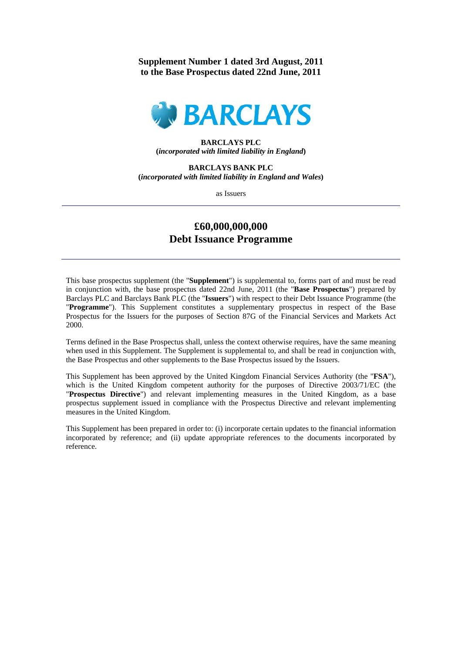# **Supplement Number 1 dated 3rd August, 2011 to the Base Prospectus dated 22nd June, 2011**



## **BARCLAYS PLC (***incorporated with limited liability in England***)**

**BARCLAYS BANK PLC (***incorporated with limited liability in England and Wales***)** 

as Issuers

# **£60,000,000,000 Debt Issuance Programme**

This base prospectus supplement (the "**Supplement**") is supplemental to, forms part of and must be read in conjunction with, the base prospectus dated 22nd June, 2011 (the "**Base Prospectus**") prepared by Barclays PLC and Barclays Bank PLC (the "**Issuers**") with respect to their Debt Issuance Programme (the "**Programme**"). This Supplement constitutes a supplementary prospectus in respect of the Base Prospectus for the Issuers for the purposes of Section 87G of the Financial Services and Markets Act 2000.

Terms defined in the Base Prospectus shall, unless the context otherwise requires, have the same meaning when used in this Supplement. The Supplement is supplemental to, and shall be read in conjunction with, the Base Prospectus and other supplements to the Base Prospectus issued by the Issuers.

This Supplement has been approved by the United Kingdom Financial Services Authority (the "**FSA**"), which is the United Kingdom competent authority for the purposes of Directive 2003/71/EC (the "**Prospectus Directive**") and relevant implementing measures in the United Kingdom, as a base prospectus supplement issued in compliance with the Prospectus Directive and relevant implementing measures in the United Kingdom.

This Supplement has been prepared in order to: (i) incorporate certain updates to the financial information incorporated by reference; and (ii) update appropriate references to the documents incorporated by reference.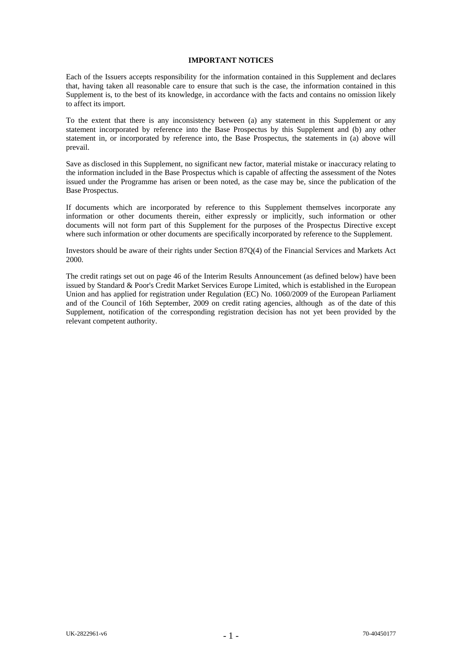#### **IMPORTANT NOTICES**

Each of the Issuers accepts responsibility for the information contained in this Supplement and declares that, having taken all reasonable care to ensure that such is the case, the information contained in this Supplement is, to the best of its knowledge, in accordance with the facts and contains no omission likely to affect its import.

To the extent that there is any inconsistency between (a) any statement in this Supplement or any statement incorporated by reference into the Base Prospectus by this Supplement and (b) any other statement in, or incorporated by reference into, the Base Prospectus, the statements in (a) above will prevail.

Save as disclosed in this Supplement, no significant new factor, material mistake or inaccuracy relating to the information included in the Base Prospectus which is capable of affecting the assessment of the Notes issued under the Programme has arisen or been noted, as the case may be, since the publication of the Base Prospectus.

If documents which are incorporated by reference to this Supplement themselves incorporate any information or other documents therein, either expressly or implicitly, such information or other documents will not form part of this Supplement for the purposes of the Prospectus Directive except where such information or other documents are specifically incorporated by reference to the Supplement.

Investors should be aware of their rights under Section 87Q(4) of the Financial Services and Markets Act 2000.

The credit ratings set out on page 46 of the Interim Results Announcement (as defined below) have been issued by Standard & Poor's Credit Market Services Europe Limited, which is established in the European Union and has applied for registration under Regulation (EC) No. 1060/2009 of the European Parliament and of the Council of 16th September, 2009 on credit rating agencies, although as of the date of this Supplement, notification of the corresponding registration decision has not yet been provided by the relevant competent authority.